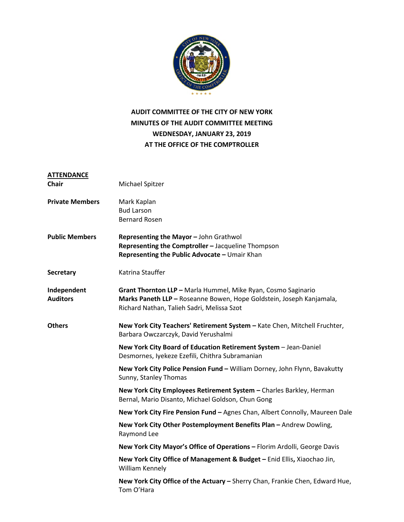

## **AUDIT COMMITTEE OF THE CITY OF NEW YORK MINUTES OF THE AUDIT COMMITTEE MEETING WEDNESDAY, JANUARY 23, 2019 AT THE OFFICE OF THE COMPTROLLER**

| <b>ATTENDANCE</b>      |                                                                                                                          |
|------------------------|--------------------------------------------------------------------------------------------------------------------------|
| Chair                  | Michael Spitzer                                                                                                          |
| <b>Private Members</b> | Mark Kaplan                                                                                                              |
|                        | <b>Bud Larson</b>                                                                                                        |
|                        | <b>Bernard Rosen</b>                                                                                                     |
| <b>Public Members</b>  | Representing the Mayor - John Grathwol                                                                                   |
|                        | Representing the Comptroller - Jacqueline Thompson                                                                       |
|                        | Representing the Public Advocate - Umair Khan                                                                            |
| <b>Secretary</b>       | Katrina Stauffer                                                                                                         |
| Independent            | Grant Thornton LLP - Marla Hummel, Mike Ryan, Cosmo Saginario                                                            |
| <b>Auditors</b>        | Marks Paneth LLP - Roseanne Bowen, Hope Goldstein, Joseph Kanjamala,                                                     |
|                        | Richard Nathan, Talieh Sadri, Melissa Szot                                                                               |
|                        |                                                                                                                          |
| <b>Others</b>          | New York City Teachers' Retirement System - Kate Chen, Mitchell Fruchter,                                                |
|                        | Barbara Owczarczyk, David Yerushalmi                                                                                     |
|                        | New York City Board of Education Retirement System - Jean-Daniel                                                         |
|                        | Desmornes, Iyekeze Ezefili, Chithra Subramanian                                                                          |
|                        | New York City Police Pension Fund - William Dorney, John Flynn, Bavakutty                                                |
|                        | Sunny, Stanley Thomas                                                                                                    |
|                        |                                                                                                                          |
|                        | New York City Employees Retirement System - Charles Barkley, Herman<br>Bernal, Mario Disanto, Michael Goldson, Chun Gong |
|                        |                                                                                                                          |
|                        | New York City Fire Pension Fund - Agnes Chan, Albert Connolly, Maureen Dale                                              |
|                        | New York City Other Postemployment Benefits Plan - Andrew Dowling,                                                       |
|                        | Raymond Lee                                                                                                              |
|                        | New York City Mayor's Office of Operations - Florim Ardolli, George Davis                                                |
|                        | New York City Office of Management & Budget - Enid Ellis, Xiaochao Jin,<br>William Kennely                               |
|                        | New York City Office of the Actuary - Sherry Chan, Frankie Chen, Edward Hue,<br>Tom O'Hara                               |
|                        |                                                                                                                          |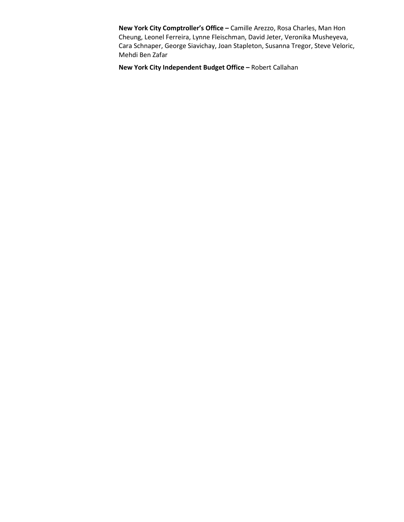**New York City Comptroller's Office –** Camille Arezzo, Rosa Charles, Man Hon Cheung, Leonel Ferreira, Lynne Fleischman, David Jeter, Veronika Musheyeva, Cara Schnaper, George Siavichay, Joan Stapleton, Susanna Tregor, Steve Veloric, Mehdi Ben Zafar

**New York City Independent Budget Office –** Robert Callahan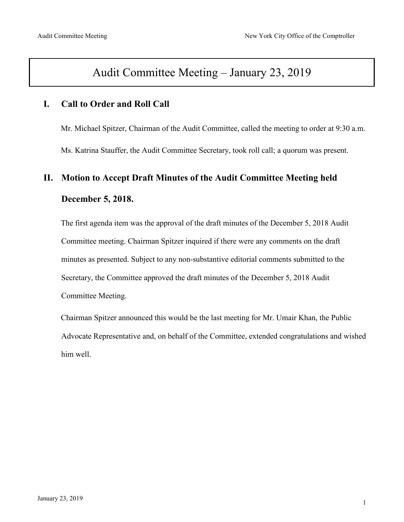# Audit Committee Meeting – January 23, 2019

## **I. Call to Order and Roll Call**

Mr. Michael Spitzer, Chairman of the Audit Committee, called the meeting to order at 9:30 a.m. Ms. Katrina Stauffer, the Audit Committee Secretary, took roll call; a quorum was present.

# **II. Motion to Accept Draft Minutes of the Audit Committee Meeting held December 5, 2018.**

The first agenda item was the approval of the draft minutes of the December 5, 2018 Audit Committee meeting. Chairman Spitzer inquired if there were any comments on the draft minutes as presented. Subject to any non-substantive editorial comments submitted to the Secretary, the Committee approved the draft minutes of the December 5, 2018 Audit Committee Meeting.

Chairman Spitzer announced this would be the last meeting for Mr. Umair Khan, the Public Advocate Representative and, on behalf of the Committee, extended congratulations and wished him well.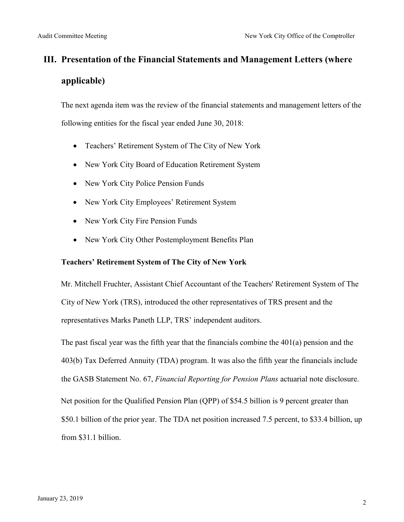# **III. Presentation of the Financial Statements and Management Letters (where applicable)**

The next agenda item was the review of the financial statements and management letters of the following entities for the fiscal year ended June 30, 2018:

- Teachers' Retirement System of The City of New York
- New York City Board of Education Retirement System
- New York City Police Pension Funds
- New York City Employees' Retirement System
- New York City Fire Pension Funds
- New York City Other Postemployment Benefits Plan

#### **Teachers' Retirement System of The City of New York**

Mr. Mitchell Fruchter, Assistant Chief Accountant of the Teachers' Retirement System of The City of New York (TRS), introduced the other representatives of TRS present and the representatives Marks Paneth LLP, TRS' independent auditors.

The past fiscal year was the fifth year that the financials combine the  $401(a)$  pension and the 403(b) Tax Deferred Annuity (TDA) program. It was also the fifth year the financials include the GASB Statement No. 67, *Financial Reporting for Pension Plans* actuarial note disclosure. Net position for the Qualified Pension Plan (QPP) of \$54.5 billion is 9 percent greater than \$50.1 billion of the prior year. The TDA net position increased 7.5 percent, to \$33.4 billion, up from \$31.1 billion.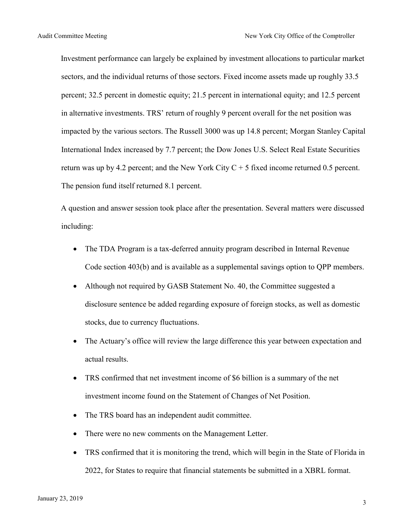Investment performance can largely be explained by investment allocations to particular market sectors, and the individual returns of those sectors. Fixed income assets made up roughly 33.5 percent; 32.5 percent in domestic equity; 21.5 percent in international equity; and 12.5 percent in alternative investments. TRS' return of roughly 9 percent overall for the net position was impacted by the various sectors. The Russell 3000 was up 14.8 percent; Morgan Stanley Capital International Index increased by 7.7 percent; the Dow Jones U.S. Select Real Estate Securities return was up by 4.2 percent; and the New York City  $C + 5$  fixed income returned 0.5 percent. The pension fund itself returned 8.1 percent.

A question and answer session took place after the presentation. Several matters were discussed including:

- The TDA Program is a tax-deferred annuity program described in Internal Revenue Code section 403(b) and is available as a supplemental savings option to QPP members.
- Although not required by GASB Statement No. 40, the Committee suggested a disclosure sentence be added regarding exposure of foreign stocks, as well as domestic stocks, due to currency fluctuations.
- The Actuary's office will review the large difference this year between expectation and actual results.
- TRS confirmed that net investment income of \$6 billion is a summary of the net investment income found on the Statement of Changes of Net Position.
- The TRS board has an independent audit committee.
- There were no new comments on the Management Letter.
- TRS confirmed that it is monitoring the trend, which will begin in the State of Florida in 2022, for States to require that financial statements be submitted in a XBRL format.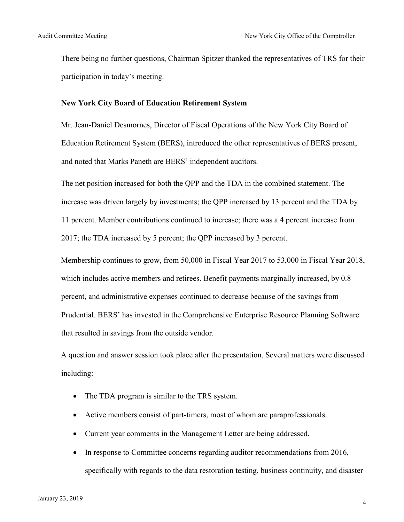There being no further questions, Chairman Spitzer thanked the representatives of TRS for their participation in today's meeting.

#### **New York City Board of Education Retirement System**

Mr. Jean-Daniel Desmornes, Director of Fiscal Operations of the New York City Board of Education Retirement System (BERS), introduced the other representatives of BERS present, and noted that Marks Paneth are BERS' independent auditors.

The net position increased for both the QPP and the TDA in the combined statement. The increase was driven largely by investments; the QPP increased by 13 percent and the TDA by 11 percent. Member contributions continued to increase; there was a 4 percent increase from 2017; the TDA increased by 5 percent; the QPP increased by 3 percent.

Membership continues to grow, from 50,000 in Fiscal Year 2017 to 53,000 in Fiscal Year 2018, which includes active members and retirees. Benefit payments marginally increased, by 0.8 percent, and administrative expenses continued to decrease because of the savings from Prudential. BERS' has invested in the Comprehensive Enterprise Resource Planning Software that resulted in savings from the outside vendor.

A question and answer session took place after the presentation. Several matters were discussed including:

- The TDA program is similar to the TRS system.
- Active members consist of part-timers, most of whom are paraprofessionals.
- Current year comments in the Management Letter are being addressed.
- In response to Committee concerns regarding auditor recommendations from 2016, specifically with regards to the data restoration testing, business continuity, and disaster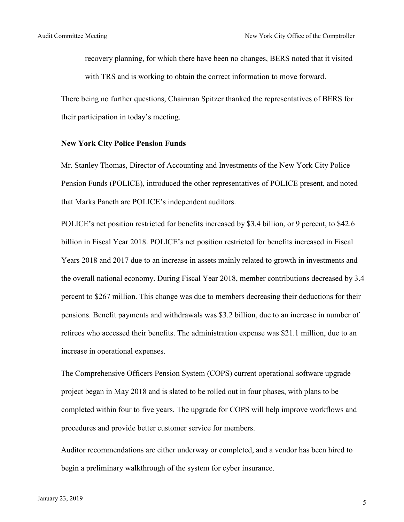recovery planning, for which there have been no changes, BERS noted that it visited with TRS and is working to obtain the correct information to move forward.

There being no further questions, Chairman Spitzer thanked the representatives of BERS for their participation in today's meeting.

#### **New York City Police Pension Funds**

Mr. Stanley Thomas, Director of Accounting and Investments of the New York City Police Pension Funds (POLICE), introduced the other representatives of POLICE present, and noted that Marks Paneth are POLICE's independent auditors.

POLICE's net position restricted for benefits increased by \$3.4 billion, or 9 percent, to \$42.6 billion in Fiscal Year 2018. POLICE's net position restricted for benefits increased in Fiscal Years 2018 and 2017 due to an increase in assets mainly related to growth in investments and the overall national economy. During Fiscal Year 2018, member contributions decreased by 3.4 percent to \$267 million. This change was due to members decreasing their deductions for their pensions. Benefit payments and withdrawals was \$3.2 billion, due to an increase in number of retirees who accessed their benefits. The administration expense was \$21.1 million, due to an increase in operational expenses.

The Comprehensive Officers Pension System (COPS) current operational software upgrade project began in May 2018 and is slated to be rolled out in four phases, with plans to be completed within four to five years. The upgrade for COPS will help improve workflows and procedures and provide better customer service for members.

Auditor recommendations are either underway or completed, and a vendor has been hired to begin a preliminary walkthrough of the system for cyber insurance.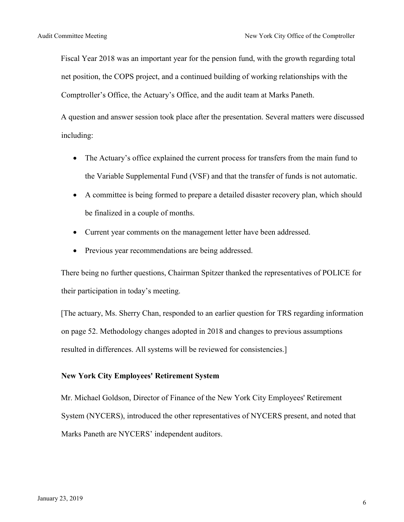Fiscal Year 2018 was an important year for the pension fund, with the growth regarding total net position, the COPS project, and a continued building of working relationships with the Comptroller's Office, the Actuary's Office, and the audit team at Marks Paneth.

A question and answer session took place after the presentation. Several matters were discussed including:

- The Actuary's office explained the current process for transfers from the main fund to the Variable Supplemental Fund (VSF) and that the transfer of funds is not automatic.
- A committee is being formed to prepare a detailed disaster recovery plan, which should be finalized in a couple of months.
- Current year comments on the management letter have been addressed.
- Previous year recommendations are being addressed.

There being no further questions, Chairman Spitzer thanked the representatives of POLICE for their participation in today's meeting.

[The actuary, Ms. Sherry Chan, responded to an earlier question for TRS regarding information on page 52. Methodology changes adopted in 2018 and changes to previous assumptions resulted in differences. All systems will be reviewed for consistencies.]

#### **New York City Employees' Retirement System**

Mr. Michael Goldson, Director of Finance of the New York City Employees' Retirement System (NYCERS), introduced the other representatives of NYCERS present, and noted that Marks Paneth are NYCERS' independent auditors.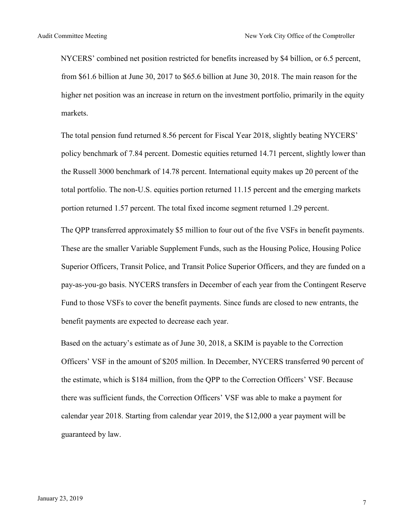NYCERS' combined net position restricted for benefits increased by \$4 billion, or 6.5 percent, from \$61.6 billion at June 30, 2017 to \$65.6 billion at June 30, 2018. The main reason for the higher net position was an increase in return on the investment portfolio, primarily in the equity markets.

The total pension fund returned 8.56 percent for Fiscal Year 2018, slightly beating NYCERS' policy benchmark of 7.84 percent. Domestic equities returned 14.71 percent, slightly lower than the Russell 3000 benchmark of 14.78 percent. International equity makes up 20 percent of the total portfolio. The non-U.S. equities portion returned 11.15 percent and the emerging markets portion returned 1.57 percent. The total fixed income segment returned 1.29 percent.

The QPP transferred approximately \$5 million to four out of the five VSFs in benefit payments. These are the smaller Variable Supplement Funds, such as the Housing Police, Housing Police Superior Officers, Transit Police, and Transit Police Superior Officers, and they are funded on a pay-as-you-go basis. NYCERS transfers in December of each year from the Contingent Reserve Fund to those VSFs to cover the benefit payments. Since funds are closed to new entrants, the benefit payments are expected to decrease each year.

Based on the actuary's estimate as of June 30, 2018, a SKIM is payable to the Correction Officers' VSF in the amount of \$205 million. In December, NYCERS transferred 90 percent of the estimate, which is \$184 million, from the QPP to the Correction Officers' VSF. Because there was sufficient funds, the Correction Officers' VSF was able to make a payment for calendar year 2018. Starting from calendar year 2019, the \$12,000 a year payment will be guaranteed by law.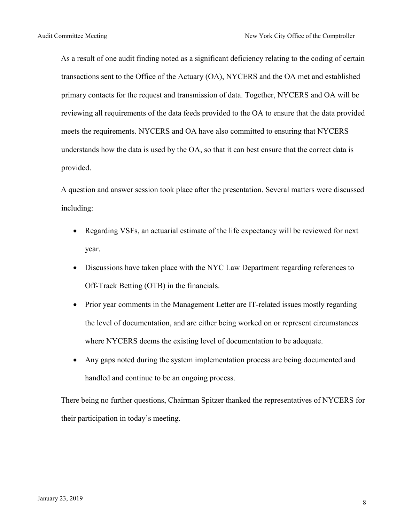As a result of one audit finding noted as a significant deficiency relating to the coding of certain transactions sent to the Office of the Actuary (OA), NYCERS and the OA met and established primary contacts for the request and transmission of data. Together, NYCERS and OA will be reviewing all requirements of the data feeds provided to the OA to ensure that the data provided meets the requirements. NYCERS and OA have also committed to ensuring that NYCERS understands how the data is used by the OA, so that it can best ensure that the correct data is provided.

A question and answer session took place after the presentation. Several matters were discussed including:

- Regarding VSFs, an actuarial estimate of the life expectancy will be reviewed for next year.
- Discussions have taken place with the NYC Law Department regarding references to Off-Track Betting (OTB) in the financials.
- Prior year comments in the Management Letter are IT-related issues mostly regarding the level of documentation, and are either being worked on or represent circumstances where NYCERS deems the existing level of documentation to be adequate.
- Any gaps noted during the system implementation process are being documented and handled and continue to be an ongoing process.

There being no further questions, Chairman Spitzer thanked the representatives of NYCERS for their participation in today's meeting.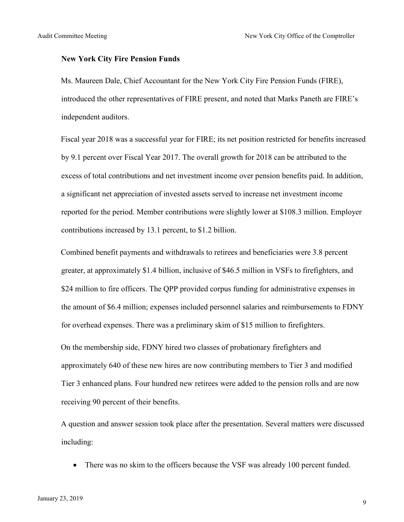#### **New York City Fire Pension Funds**

Ms. Maureen Dale, Chief Accountant for the New York City Fire Pension Funds (FIRE), introduced the other representatives of FIRE present, and noted that Marks Paneth are FIRE's independent auditors.

Fiscal year 2018 was a successful year for FIRE; its net position restricted for benefits increased by 9.1 percent over Fiscal Year 2017. The overall growth for 2018 can be attributed to the excess of total contributions and net investment income over pension benefits paid. In addition, a significant net appreciation of invested assets served to increase net investment income reported for the period. Member contributions were slightly lower at \$108.3 million. Employer contributions increased by 13.1 percent, to \$1.2 billion.

Combined benefit payments and withdrawals to retirees and beneficiaries were 3.8 percent greater, at approximately \$1.4 billion, inclusive of \$46.5 million in VSFs to firefighters, and \$24 million to fire officers. The QPP provided corpus funding for administrative expenses in the amount of \$6.4 million; expenses included personnel salaries and reimbursements to FDNY for overhead expenses. There was a preliminary skim of \$15 million to firefighters.

On the membership side, FDNY hired two classes of probationary firefighters and approximately 640 of these new hires are now contributing members to Tier 3 and modified Tier 3 enhanced plans. Four hundred new retirees were added to the pension rolls and are now receiving 90 percent of their benefits.

A question and answer session took place after the presentation. Several matters were discussed including:

• There was no skim to the officers because the VSF was already 100 percent funded.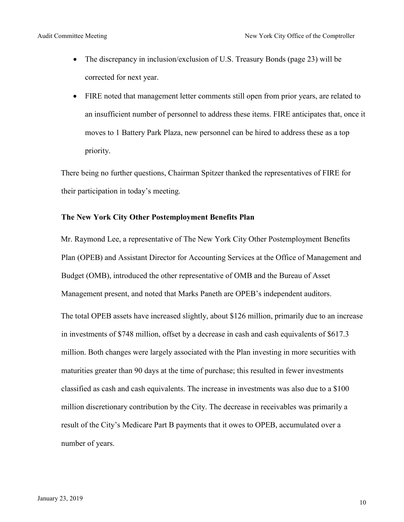- The discrepancy in inclusion/exclusion of U.S. Treasury Bonds (page 23) will be corrected for next year.
- FIRE noted that management letter comments still open from prior years, are related to an insufficient number of personnel to address these items. FIRE anticipates that, once it moves to 1 Battery Park Plaza, new personnel can be hired to address these as a top priority.

There being no further questions, Chairman Spitzer thanked the representatives of FIRE for their participation in today's meeting.

#### **The New York City Other Postemployment Benefits Plan**

Mr. Raymond Lee, a representative of The New York City Other Postemployment Benefits Plan (OPEB) and Assistant Director for Accounting Services at the Office of Management and Budget (OMB), introduced the other representative of OMB and the Bureau of Asset Management present, and noted that Marks Paneth are OPEB's independent auditors. The total OPEB assets have increased slightly, about \$126 million, primarily due to an increase in investments of \$748 million, offset by a decrease in cash and cash equivalents of \$617.3 million. Both changes were largely associated with the Plan investing in more securities with maturities greater than 90 days at the time of purchase; this resulted in fewer investments classified as cash and cash equivalents. The increase in investments was also due to a \$100 million discretionary contribution by the City. The decrease in receivables was primarily a result of the City's Medicare Part B payments that it owes to OPEB, accumulated over a number of years.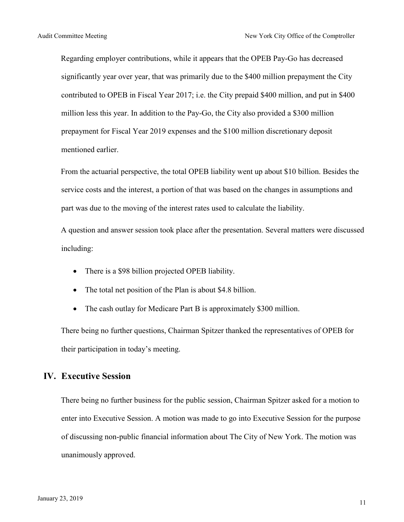Regarding employer contributions, while it appears that the OPEB Pay-Go has decreased significantly year over year, that was primarily due to the \$400 million prepayment the City contributed to OPEB in Fiscal Year 2017; i.e. the City prepaid \$400 million, and put in \$400 million less this year. In addition to the Pay-Go, the City also provided a \$300 million prepayment for Fiscal Year 2019 expenses and the \$100 million discretionary deposit mentioned earlier.

From the actuarial perspective, the total OPEB liability went up about \$10 billion. Besides the service costs and the interest, a portion of that was based on the changes in assumptions and part was due to the moving of the interest rates used to calculate the liability.

A question and answer session took place after the presentation. Several matters were discussed including:

- There is a \$98 billion projected OPEB liability.
- The total net position of the Plan is about \$4.8 billion.
- The cash outlay for Medicare Part B is approximately \$300 million.

There being no further questions, Chairman Spitzer thanked the representatives of OPEB for their participation in today's meeting.

### **IV. Executive Session**

There being no further business for the public session, Chairman Spitzer asked for a motion to enter into Executive Session. A motion was made to go into Executive Session for the purpose of discussing non-public financial information about The City of New York. The motion was unanimously approved.